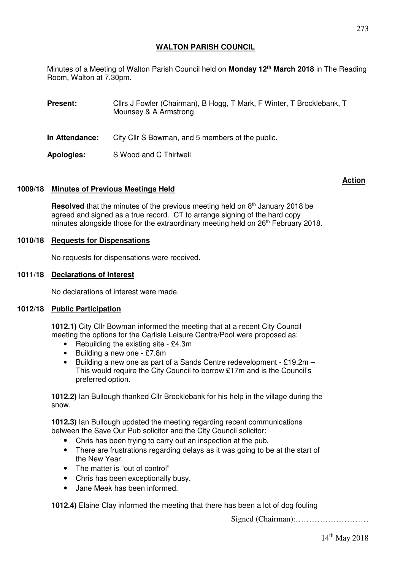Minutes of a Meeting of Walton Parish Council held on **Monday 12th March 2018** in The Reading Room, Walton at 7.30pm.

**Present:** Clirs J Fowler (Chairman), B Hogg, T Mark, F Winter, T Brocklebank, T Mounsey & A Armstrong

**In Attendance:** City Cllr S Bowman, and 5 members of the public.

**Apologies:** S Wood and C Thirlwell

# **1009/18 Minutes of Previous Meetings Held**

**Resolved** that the minutes of the previous meeting held on 8<sup>th</sup> January 2018 be agreed and signed as a true record. CT to arrange signing of the hard copy minutes alongside those for the extraordinary meeting held on 26<sup>th</sup> February 2018.

### **1010/18 Requests for Dispensations**

No requests for dispensations were received.

### **1011/18 Declarations of Interest**

No declarations of interest were made.

#### **1012/18 Public Participation**

**1012.1)** City Cllr Bowman informed the meeting that at a recent City Council meeting the options for the Carlisle Leisure Centre/Pool were proposed as:

- Rebuilding the existing site £4.3m
- Building a new one £7.8m
- Building a new one as part of a Sands Centre redevelopment £19.2m This would require the City Council to borrow £17m and is the Council's preferred option.

**1012.2)** Ian Bullough thanked Cllr Brocklebank for his help in the village during the snow.

**1012.3)** Ian Bullough updated the meeting regarding recent communications between the Save Our Pub solicitor and the City Council solicitor:

- Chris has been trying to carry out an inspection at the pub.
- There are frustrations regarding delays as it was going to be at the start of the New Year.
- The matter is "out of control"
- Chris has been exceptionally busy.
- Jane Meek has been informed.

**1012.4)** Elaine Clay informed the meeting that there has been a lot of dog fouling

Signed (Chairman):………………………

**Action**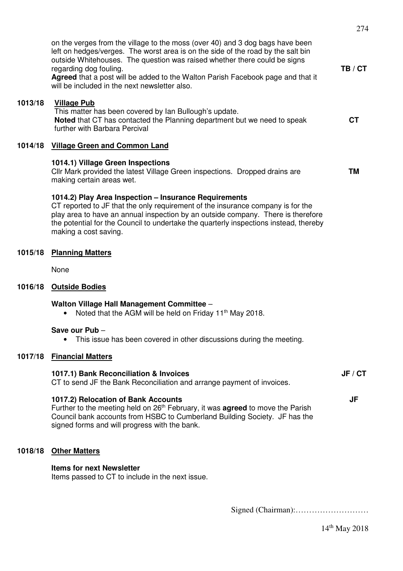|         | on the verges from the village to the moss (over 40) and 3 dog bags have been<br>left on hedges/verges. The worst area is on the side of the road by the salt bin<br>outside Whitehouses. The question was raised whether there could be signs<br>regarding dog fouling.<br>Agreed that a post will be added to the Walton Parish Facebook page and that it<br>will be included in the next newsletter also. | TB / CT   |
|---------|--------------------------------------------------------------------------------------------------------------------------------------------------------------------------------------------------------------------------------------------------------------------------------------------------------------------------------------------------------------------------------------------------------------|-----------|
| 1013/18 | <b>Village Pub</b><br>This matter has been covered by Ian Bullough's update.<br>Noted that CT has contacted the Planning department but we need to speak<br>further with Barbara Percival                                                                                                                                                                                                                    | <b>CT</b> |
| 1014/18 | <b>Village Green and Common Land</b>                                                                                                                                                                                                                                                                                                                                                                         |           |
|         | 1014.1) Village Green Inspections<br>Cllr Mark provided the latest Village Green inspections. Dropped drains are<br>making certain areas wet.                                                                                                                                                                                                                                                                | <b>TM</b> |
|         | 1014.2) Play Area Inspection - Insurance Requirements<br>CT reported to JF that the only requirement of the insurance company is for the<br>play area to have an annual inspection by an outside company. There is therefore<br>the potential for the Council to undertake the quarterly inspections instead, thereby<br>making a cost saving.                                                               |           |
| 1015/18 | <b>Planning Matters</b>                                                                                                                                                                                                                                                                                                                                                                                      |           |
|         | None                                                                                                                                                                                                                                                                                                                                                                                                         |           |
| 1016/18 | <b>Outside Bodies</b>                                                                                                                                                                                                                                                                                                                                                                                        |           |
|         | Walton Village Hall Management Committee -<br>Noted that the AGM will be held on Friday 11 <sup>th</sup> May 2018.<br>$\bullet$                                                                                                                                                                                                                                                                              |           |
|         | Save our Pub-<br>This issue has been covered in other discussions during the meeting.                                                                                                                                                                                                                                                                                                                        |           |
| 1017/18 | <b>Financial Matters</b>                                                                                                                                                                                                                                                                                                                                                                                     |           |
|         | 1017.1) Bank Reconciliation & Invoices<br>CT to send JF the Bank Reconciliation and arrange payment of invoices.                                                                                                                                                                                                                                                                                             | JF / CT   |
|         | 1017.2) Relocation of Bank Accounts<br>Further to the meeting held on 26 <sup>th</sup> February, it was <b>agreed</b> to move the Parish<br>Council bank accounts from HSBC to Cumberland Building Society. JF has the<br>signed forms and will progress with the bank.                                                                                                                                      | JF        |
| 1018/18 | <b>Other Matters</b>                                                                                                                                                                                                                                                                                                                                                                                         |           |
|         | <b>Items for next Newsletter</b><br>Items passed to CT to include in the next issue.                                                                                                                                                                                                                                                                                                                         |           |
|         |                                                                                                                                                                                                                                                                                                                                                                                                              |           |

274

 $14^{\rm th}$  May 2018